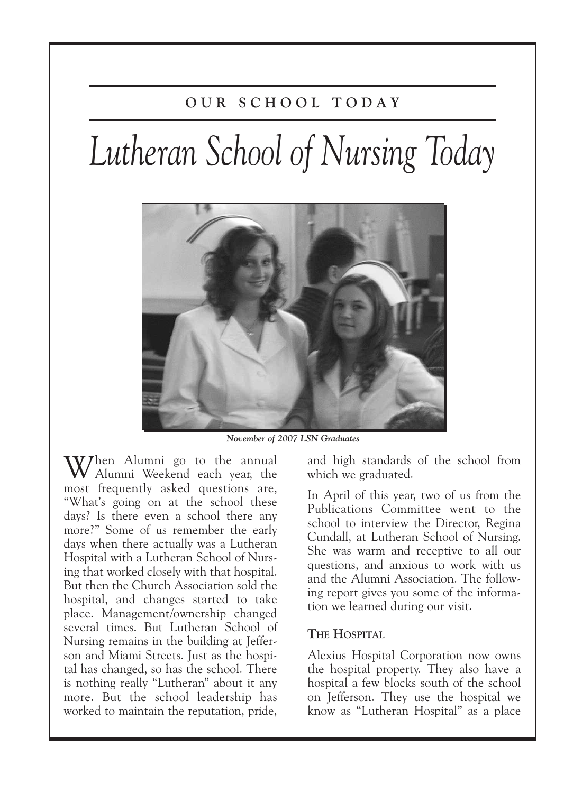# **O U R S C H O O L T O D A Y**

# *Lutheran School of Nursing Today*



*November of 2007 LSN Graduates*

W/hen Alumni go to the annual Alumni Weekend each year, the most frequently asked questions are, "What's going on at the school these days? Is there even a school there any more?" Some of us remember the early days when there actually was a Lutheran Hospital with a Lutheran School of Nursing that worked closely with that hospital. But then the Church Association sold the hospital, and changes started to take place. Management/ownership changed several times. But Lutheran School of Nursing remains in the building at Jefferson and Miami Streets. Just as the hospital has changed, so has the school. There is nothing really "Lutheran" about it any more. But the school leadership has worked to maintain the reputation, pride,

and high standards of the school from which we graduated.

In April of this year, two of us from the Publications Committee went to the school to interview the Director, Regina Cundall, at Lutheran School of Nursing. She was warm and receptive to all our questions, and anxious to work with us and the Alumni Association. The following report gives you some of the information we learned during our visit.

# **THE HOSPITAL**

Alexius Hospital Corporation now owns the hospital property. They also have a hospital a few blocks south of the school on Jefferson. They use the hospital we know as "Lutheran Hospital" as a place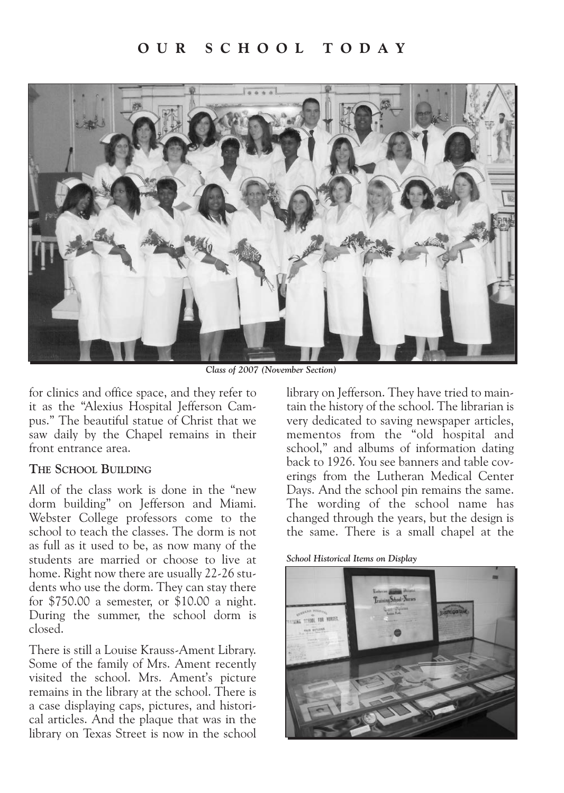# **O U R S C H O O L T O D A Y**



*Class of 2007 (November Section)*

for clinics and office space, and they refer to it as the "Alexius Hospital Jefferson Campus." The beautiful statue of Christ that we saw daily by the Chapel remains in their front entrance area.

## **THE SCHOOL BUILDING**

All of the class work is done in the "new dorm building" on Jefferson and Miami. Webster College professors come to the school to teach the classes. The dorm is not as full as it used to be, as now many of the students are married or choose to live at home. Right now there are usually 22-26 students who use the dorm. They can stay there for \$750.00 a semester, or \$10.00 a night. During the summer, the school dorm is closed.

There is still a Louise Krauss-Ament Library. Some of the family of Mrs. Ament recently visited the school. Mrs. Ament's picture remains in the library at the school. There is a case displaying caps, pictures, and historical articles. And the plaque that was in the library on Texas Street is now in the school library on Jefferson. They have tried to maintain the history of the school. The librarian is very dedicated to saving newspaper articles, mementos from the "old hospital and school," and albums of information dating back to 1926. You see banners and table coverings from the Lutheran Medical Center Days. And the school pin remains the same. The wording of the school name has changed through the years, but the design is the same. There is a small chapel at the

#### *School Historical Items on Display*

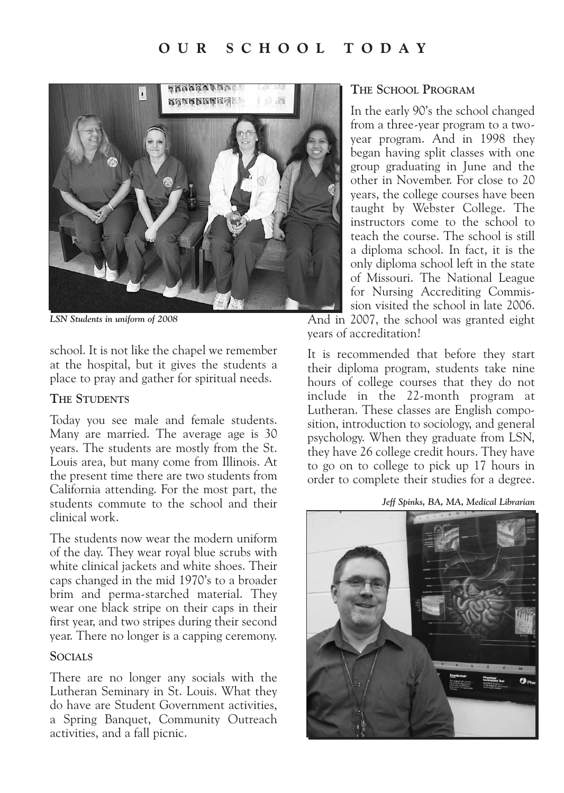# **O U R S C H O O L T O D A Y**



*LSN Students in uniform of 2008*

school. It is not like the chapel we remember at the hospital, but it gives the students a place to pray and gather for spiritual needs.

## **THE STUDENTS**

Today you see male and female students. Many are married. The average age is 30 years. The students are mostly from the St. Louis area, but many come from Illinois. At the present time there are two students from California attending. For the most part, the students commute to the school and their clinical work.

The students now wear the modern uniform of the day. They wear royal blue scrubs with white clinical jackets and white shoes. Their caps changed in the mid 1970's to a broader brim and perma-starched material. They wear one black stripe on their caps in their first year, and two stripes during their second year. There no longer is a capping ceremony.

## **SOCIALS**

There are no longer any socials with the Lutheran Seminary in St. Louis. What they do have are Student Government activities, a Spring Banquet, Community Outreach activities, and a fall picnic.

## **THE SCHOOL PROGRAM**

In the early 90's the school changed from a three-year program to a twoyear program. And in 1998 they began having split classes with one group graduating in June and the other in November. For close to 20 years, the college courses have been taught by Webster College. The instructors come to the school to teach the course. The school is still a diploma school. In fact, it is the only diploma school left in the state of Missouri. The National League for Nursing Accrediting Commission visited the school in late 2006. And in 2007, the school was granted eight

years of accreditation!

It is recommended that before they start their diploma program, students take nine hours of college courses that they do not include in the 22-month program at Lutheran. These classes are English composition, introduction to sociology, and general psychology. When they graduate from LSN, they have 26 college credit hours. They have to go on to college to pick up 17 hours in order to complete their studies for a degree.

*Jeff Spinks, BA, MA, Medical Librarian*